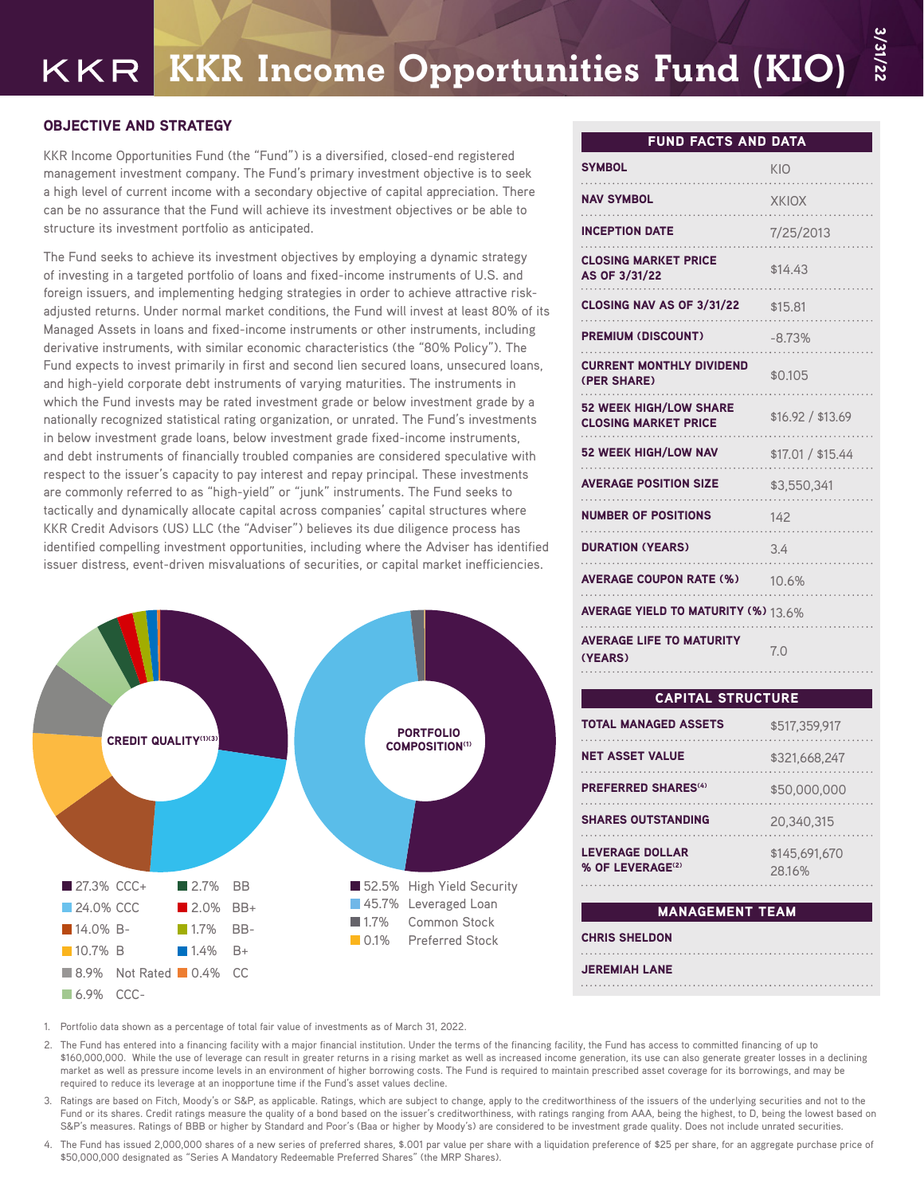# KKR Income Opportunities Fund (KIO)

## OBJECTIVE AND STRATEGY

KKR Income Opportunities Fund (the "Fund") is a diversified, closed-end registered management investment company. The Fund's primary investment objective is to seek a high level of current income with a secondary objective of capital appreciation. There can be no assurance that the Fund will achieve its investment objectives or be able to structure its investment portfolio as anticipated.

The Fund seeks to achieve its investment objectives by employing a dynamic strategy of investing in a targeted portfolio of loans and fixed-income instruments of U.S. and foreign issuers, and implementing hedging strategies in order to achieve attractive riskadjusted returns. Under normal market conditions, the Fund will invest at least 80% of its Managed Assets in loans and fixed-income instruments or other instruments, including derivative instruments, with similar economic characteristics (the "80% Policy"). The Fund expects to invest primarily in first and second lien secured loans, unsecured loans, and high-yield corporate debt instruments of varying maturities. The instruments in which the Fund invests may be rated investment grade or below investment grade by a nationally recognized statistical rating organization, or unrated. The Fund's investments in below investment grade loans, below investment grade fixed-income instruments, and debt instruments of financially troubled companies are considered speculative with respect to the issuer's capacity to pay interest and repay principal. These investments are commonly referred to as "high-yield" or "junk" instruments. The Fund seeks to tactically and dynamically allocate capital across companies' capital structures where KKR Credit Advisors (US) LLC (the "Adviser") believes its due diligence process has identified compelling investment opportunities, including where the Adviser has identified issuer distress, event-driven misvaluations of securities, or capital market inefficiencies.



## FUND FACTS AND DATA

3/31/22

| <b>SYMBOL</b>                                                | KIO               |
|--------------------------------------------------------------|-------------------|
| <b>NAV SYMBOL</b>                                            | <b>XKIOX</b>      |
| <b>INCEPTION DATE</b>                                        | 7/25/2013         |
| <b>CLOSING MARKET PRICE</b><br>AS OF 3/31/22                 | \$14.43           |
| <b>CLOSING NAV AS OF 3/31/22</b>                             | \$15.81           |
| <b>PREMIUM (DISCOUNT)</b>                                    | $-8.73%$          |
| <b>CURRENT MONTHLY DIVIDEND</b><br>(PER SHARE)               | \$0.105           |
| <b>52 WEEK HIGH/LOW SHARE</b><br><b>CLOSING MARKET PRICE</b> | \$16.92 / \$13.69 |
| <b>52 WEEK HIGH/LOW NAV</b>                                  | \$17.01 / \$15.44 |
| <b>AVERAGE POSITION SIZE</b>                                 | \$3.550.341       |
| <b>NUMBER OF POSITIONS</b>                                   | 142               |
| <b>DURATION (YEARS)</b>                                      | 3.4               |
| <b>AVERAGE COUPON RATE (%)</b>                               | 10.6%             |
| <b>AVERAGE YIELD TO MATURITY (%)</b> 13.6%                   |                   |
| <b>AVERAGE LIFE TO MATURITY</b><br>(YEARS)                   | 7.0               |
|                                                              |                   |

#### CAPITAL STRUCTURE

| <b>TOTAL MANAGED ASSETS</b>                            | \$517.359.917           |
|--------------------------------------------------------|-------------------------|
| <b>NET ASSET VALUE</b>                                 | \$321,668,247           |
| <b>PREFERRED SHARES<sup>(4)</sup></b>                  | \$50,000,000            |
| <b>SHARES OUTSTANDING</b>                              | 20.340.315              |
| <b>LEVERAGE DOLLAR</b><br>% OF LEVERAGE <sup>(2)</sup> | \$145.691.670<br>28.16% |

#### MANAGEMENT TEAM

| <b>CHRIS SHELDON</b> |
|----------------------|
|                      |
| <b>JEREMIAH LANE</b> |
|                      |

1. Portfolio data shown as a percentage of total fair value of investments as of March 31, 2022.

- 2. The Fund has entered into a financing facility with a major financial institution. Under the terms of the financing facility, the Fund has access to committed financing of up to \$160,000,000. While the use of leverage can result in greater returns in a rising market as well as increased income generation, its use can also generate greater losses in a declining market as well as pressure income levels in an environment of higher borrowing costs. The Fund is required to maintain prescribed asset coverage for its borrowings, and may be required to reduce its leverage at an inopportune time if the Fund's asset values decline.
- 3. Ratings are based on Fitch, Moody's or S&P, as applicable. Ratings, which are subject to change, apply to the creditworthiness of the issuers of the underlying securities and not to the Fund or its shares. Credit ratings measure the quality of a bond based on the issuer's creditworthiness, with ratings ranging from AAA, being the highest, to D, being the lowest based on S&P's measures. Ratings of BBB or higher by Standard and Poor's (Baa or higher by Moody's) are considered to be investment grade quality. Does not include unrated securities.
- 4. The Fund has issued 2,000,000 shares of a new series of preferred shares, \$.001 par value per share with a liquidation preference of \$25 per share, for an aggregate purchase price of \$50,000,000 designated as "Series A Mandatory Redeemable Preferred Shares" (the MRP Shares).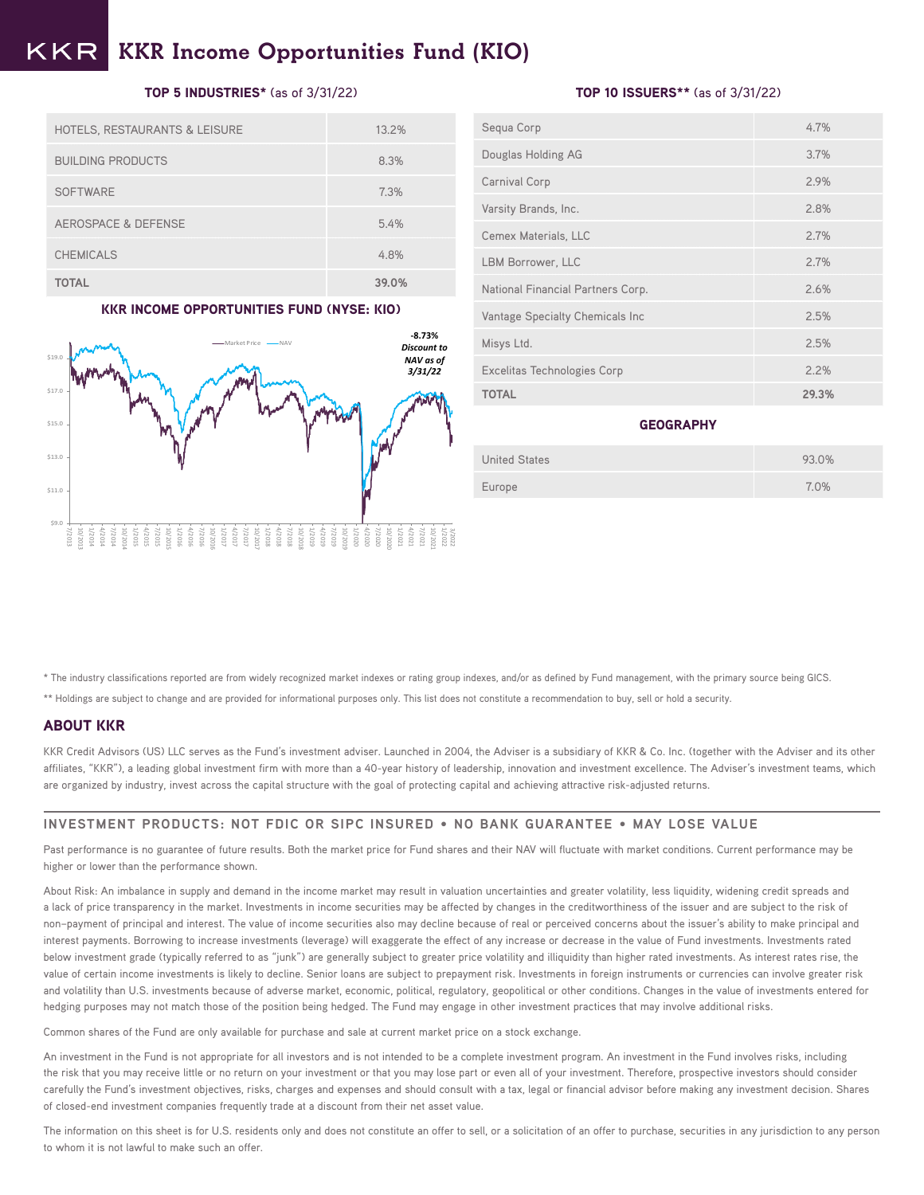#### KKR Income Opportunities Fund (KIO) KKR

## TOP 5 INDUSTRIES\* (as of 3/31/22)

| <b>HOTELS, RESTAURANTS &amp; LEISURE</b> | 13.2% |
|------------------------------------------|-------|
| <b>BUILDING PRODUCTS</b>                 | 8.3%  |
| <b>SOFTWARE</b>                          | 7.3%  |
| AEROSPACE & DEFENSE                      | 5.4%  |
| <b>CHEMICALS</b>                         | 4.8%  |
| <b>TOTAL</b>                             | 39.0% |

#### KKR INCOME OPPORTUNITIES FUND (NYSE: KIO)



## TOP 10 ISSUERS\*\* (as of 3/31/22)

| Sequa Corp                        | 4.7%  |
|-----------------------------------|-------|
| Douglas Holding AG                | 3.7%  |
| Carnival Corp                     | 2.9%  |
| Varsity Brands, Inc.              | 2.8%  |
| Cemex Materials, LLC              | 2.7%  |
| LBM Borrower, LLC                 | 2.7%  |
| National Financial Partners Corp. | 2.6%  |
| Vantage Specialty Chemicals Inc   | 2.5%  |
| Misys Ltd.                        | 2.5%  |
| Excelitas Technologies Corp       | 2.2%  |
| <b>TOTAL</b>                      | 29.3% |

#### **GEOGRAPHY**

| <b>United States</b> | 93.0% |
|----------------------|-------|
| Europe               | 7.0%  |

\* The industry classifications reported are from widely recognized market indexes or rating group indexes, and/or as defined by Fund management, with the primary source being GICS.

\*\* Holdings are subject to change and are provided for informational purposes only. This list does not constitute a recommendation to buy, sell or hold a security.

## ABOUT KKR

KKR Credit Advisors (US) LLC serves as the Fund's investment adviser. Launched in 2004, the Adviser is a subsidiary of KKR & Co. Inc. (together with the Adviser and its other affiliates, "KKR"), a leading global investment firm with more than a 40-year history of leadership, innovation and investment excellence. The Adviser's investment teams, which are organized by industry, invest across the capital structure with the goal of protecting capital and achieving attractive risk-adjusted returns.

#### **INVESTMENT PRODUCTS: NOT FDIC OR SIPC INSURED • NO BANK GUARANTEE • MAY LOSE VALUE**

Past performance is no guarantee of future results. Both the market price for Fund shares and their NAV will fluctuate with market conditions. Current performance may be higher or lower than the performance shown.

About Risk: An imbalance in supply and demand in the income market may result in valuation uncertainties and greater volatility, less liquidity, widening credit spreads and a lack of price transparency in the market. Investments in income securities may be affected by changes in the creditworthiness of the issuer and are subject to the risk of non–payment of principal and interest. The value of income securities also may decline because of real or perceived concerns about the issuer's ability to make principal and interest payments. Borrowing to increase investments (leverage) will exaggerate the effect of any increase or decrease in the value of Fund investments. Investments rated below investment grade (typically referred to as "junk") are generally subject to greater price volatility and illiquidity than higher rated investments. As interest rates rise, the value of certain income investments is likely to decline. Senior loans are subject to prepayment risk. Investments in foreign instruments or currencies can involve greater risk and volatility than U.S. investments because of adverse market, economic, political, regulatory, geopolitical or other conditions. Changes in the value of investments entered for hedging purposes may not match those of the position being hedged. The Fund may engage in other investment practices that may involve additional risks.

Common shares of the Fund are only available for purchase and sale at current market price on a stock exchange.

An investment in the Fund is not appropriate for all investors and is not intended to be a complete investment program. An investment in the Fund involves risks, including the risk that you may receive little or no return on your investment or that you may lose part or even all of your investment. Therefore, prospective investors should consider carefully the Fund's investment objectives, risks, charges and expenses and should consult with a tax, legal or financial advisor before making any investment decision. Shares of closed-end investment companies frequently trade at a discount from their net asset value.

The information on this sheet is for U.S. residents only and does not constitute an offer to sell, or a solicitation of an offer to purchase, securities in any jurisdiction to any person to whom it is not lawful to make such an offer.